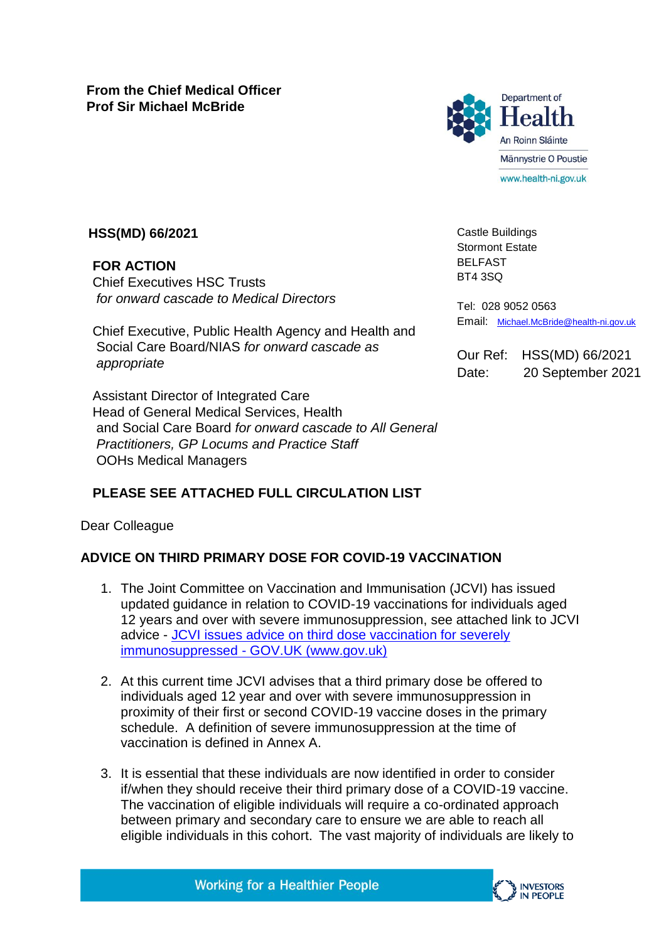**From the Chief Medical Officer Prof Sir Michael McBride**



## **HSS(MD) 66/2021**

**FOR ACTION**  Chief Executives HSC Trusts *for onward cascade to Medical Directors*

Chief Executive, Public Health Agency and Health and Social Care Board/NIAS *for onward cascade as appropriate*

Assistant Director of Integrated Care Head of General Medical Services, Health and Social Care Board *for onward cascade to All General Practitioners, GP Locums and Practice Staff*  OOHs Medical Managers

## **PLEASE SEE ATTACHED FULL CIRCULATION LIST**

Dear Colleague

### **ADVICE ON THIRD PRIMARY DOSE FOR COVID-19 VACCINATION**

- 1. The Joint Committee on Vaccination and Immunisation (JCVI) has issued updated guidance in relation to COVID-19 vaccinations for individuals aged 12 years and over with severe immunosuppression, see attached link to JCVI advice - [JCVI issues advice on third dose vaccination for severely](https://www.gov.uk/government/news/jcvi-issues-advice-on-third-dose-vaccination-for-severely-immunosuppressed)  immunosuppressed - [GOV.UK \(www.gov.uk\)](https://www.gov.uk/government/news/jcvi-issues-advice-on-third-dose-vaccination-for-severely-immunosuppressed)
- 2. At this current time JCVI advises that a third primary dose be offered to individuals aged 12 year and over with severe immunosuppression in proximity of their first or second COVID-19 vaccine doses in the primary schedule. A definition of severe immunosuppression at the time of vaccination is defined in Annex A.
- 3. It is essential that these individuals are now identified in order to consider if/when they should receive their third primary dose of a COVID-19 vaccine. The vaccination of eligible individuals will require a co-ordinated approach between primary and secondary care to ensure we are able to reach all eligible individuals in this cohort. The vast majority of individuals are likely to



Castle Buildings Stormont Estate BELFAST BT4 3SQ

Tel: 028 9052 0563 Email: [Michael.McBride@health-ni.gov.uk](mailto:Michael.McBride@health-ni.gov.uk)

Our Ref: HSS(MD) 66/2021 Date: 20 September 2021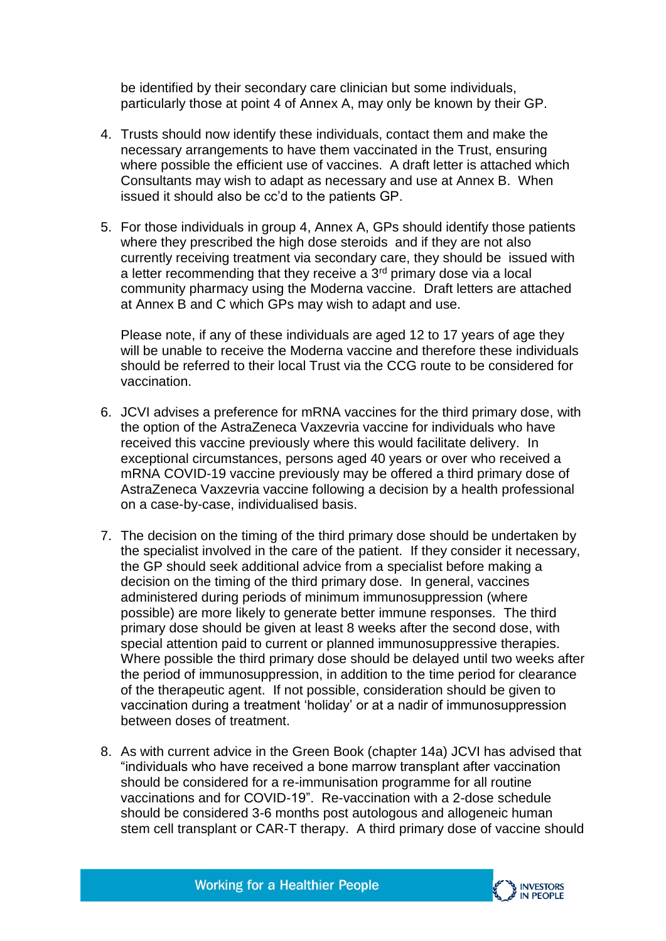be identified by their secondary care clinician but some individuals, particularly those at point 4 of Annex A, may only be known by their GP.

- 4. Trusts should now identify these individuals, contact them and make the necessary arrangements to have them vaccinated in the Trust, ensuring where possible the efficient use of vaccines. A draft letter is attached which Consultants may wish to adapt as necessary and use at Annex B. When issued it should also be cc'd to the patients GP.
- 5. For those individuals in group 4, Annex A, GPs should identify those patients where they prescribed the high dose steroids and if they are not also currently receiving treatment via secondary care, they should be issued with a letter recommending that they receive a  $3<sup>rd</sup>$  primary dose via a local community pharmacy using the Moderna vaccine. Draft letters are attached at Annex B and C which GPs may wish to adapt and use.

Please note, if any of these individuals are aged 12 to 17 years of age they will be unable to receive the Moderna vaccine and therefore these individuals should be referred to their local Trust via the CCG route to be considered for vaccination.

- 6. JCVI advises a preference for mRNA vaccines for the third primary dose, with the option of the AstraZeneca Vaxzevria vaccine for individuals who have received this vaccine previously where this would facilitate delivery. In exceptional circumstances, persons aged 40 years or over who received a mRNA COVID-19 vaccine previously may be offered a third primary dose of AstraZeneca Vaxzevria vaccine following a decision by a health professional on a case-by-case, individualised basis.
- 7. The decision on the timing of the third primary dose should be undertaken by the specialist involved in the care of the patient. If they consider it necessary, the GP should seek additional advice from a specialist before making a decision on the timing of the third primary dose. In general, vaccines administered during periods of minimum immunosuppression (where possible) are more likely to generate better immune responses. The third primary dose should be given at least 8 weeks after the second dose, with special attention paid to current or planned immunosuppressive therapies. Where possible the third primary dose should be delayed until two weeks after the period of immunosuppression, in addition to the time period for clearance of the therapeutic agent. If not possible, consideration should be given to vaccination during a treatment 'holiday' or at a nadir of immunosuppression between doses of treatment.
- 8. As with current advice in the Green Book (chapter 14a) JCVI has advised that "individuals who have received a bone marrow transplant after vaccination should be considered for a re-immunisation programme for all routine vaccinations and for COVID-19". Re-vaccination with a 2-dose schedule should be considered 3-6 months post autologous and allogeneic human stem cell transplant or CAR-T therapy. A third primary dose of vaccine should

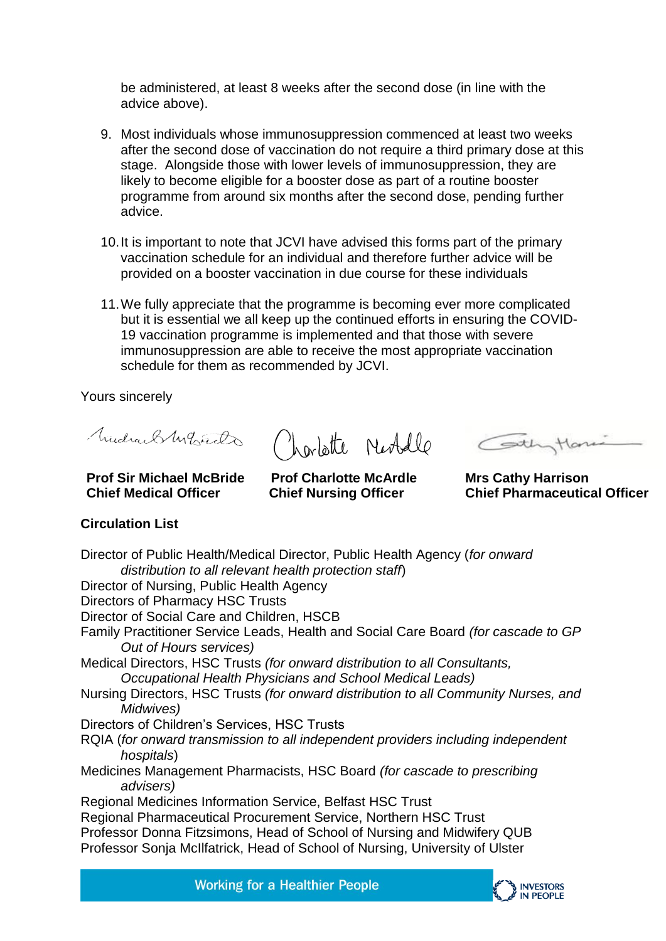be administered, at least 8 weeks after the second dose (in line with the advice above).

- 9. Most individuals whose immunosuppression commenced at least two weeks after the second dose of vaccination do not require a third primary dose at this stage. Alongside those with lower levels of immunosuppression, they are likely to become eligible for a booster dose as part of a routine booster programme from around six months after the second dose, pending further advice.
- 10.It is important to note that JCVI have advised this forms part of the primary vaccination schedule for an individual and therefore further advice will be provided on a booster vaccination in due course for these individuals
- 11.We fully appreciate that the programme is becoming ever more complicated but it is essential we all keep up the continued efforts in ensuring the COVID-19 vaccination programme is implemented and that those with severe immunosuppression are able to receive the most appropriate vaccination schedule for them as recommended by JCVI.

Yours sincerely

Mudrael Myrich

Charlotte Neobelle Continuition

**Mrs Cathy Harrison Chief Pharmaceutical Officer**

#### **Prof Sir Michael McBride Chief Medical Officer**

**Prof Charlotte McArdle Chief Nursing Officer** 

# **Circulation List**

Director of Public Health/Medical Director, Public Health Agency (*for onward distribution to all relevant health protection staff*) Director of Nursing, Public Health Agency Directors of Pharmacy HSC Trusts Director of Social Care and Children, HSCB Family Practitioner Service Leads, Health and Social Care Board *(for cascade to GP Out of Hours services)*  Medical Directors, HSC Trusts *(for onward distribution to all Consultants, Occupational Health Physicians and School Medical Leads)*  Nursing Directors, HSC Trusts *(for onward distribution to all Community Nurses, and Midwives)*  Directors of Children's Services, HSC Trusts RQIA (*for onward transmission to all independent providers including independent hospitals*) Medicines Management Pharmacists, HSC Board *(for cascade to prescribing advisers)*  Regional Medicines Information Service, Belfast HSC Trust Regional Pharmaceutical Procurement Service, Northern HSC Trust Professor Donna Fitzsimons, Head of School of Nursing and Midwifery QUB Professor Sonja McIlfatrick, Head of School of Nursing, University of Ulster

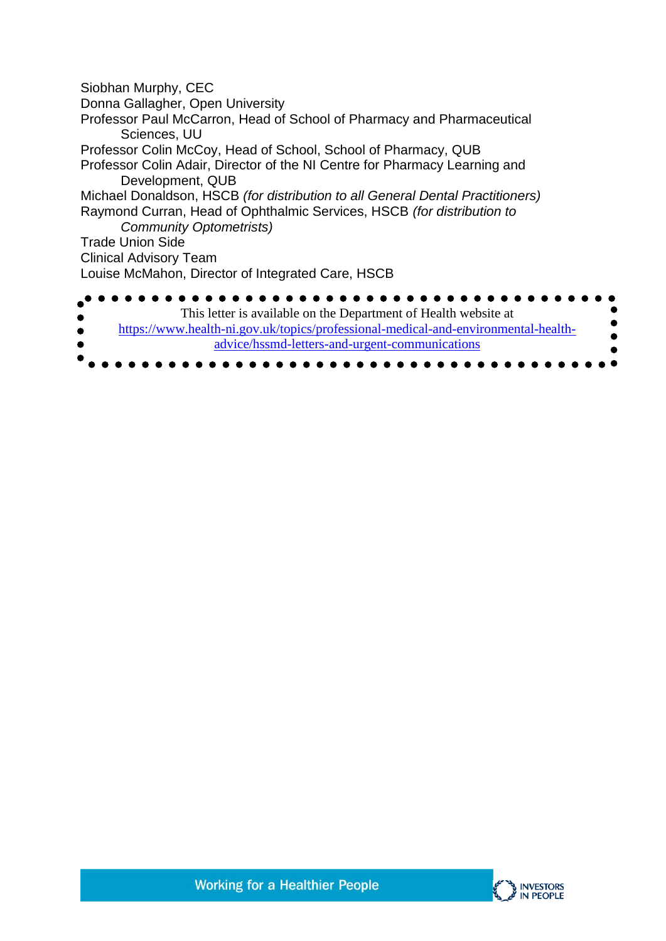Siobhan Murphy, CEC Donna Gallagher, Open University Professor Paul McCarron, Head of School of Pharmacy and Pharmaceutical Sciences, UU Professor Colin McCoy, Head of School, School of Pharmacy, QUB Professor Colin Adair, Director of the NI Centre for Pharmacy Learning and Development, QUB Michael Donaldson, HSCB *(for distribution to all General Dental Practitioners)* Raymond Curran, Head of Ophthalmic Services, HSCB *(for distribution to Community Optometrists)*  Trade Union Side Clinical Advisory Team Louise McMahon, Director of Integrated Care, HSCB . . . . This letter is available on the Department of Health website at [https://www.health-ni.gov.uk/topics/professional-medical-and-environmental-health](https://www.health-ni.gov.uk/topics/professional-medical-and-environmental-health-advice/hssmd-letters-and-urgent-communications)[advice/hssmd-letters-and-urgent-communications](https://www.health-ni.gov.uk/topics/professional-medical-and-environmental-health-advice/hssmd-letters-and-urgent-communications)

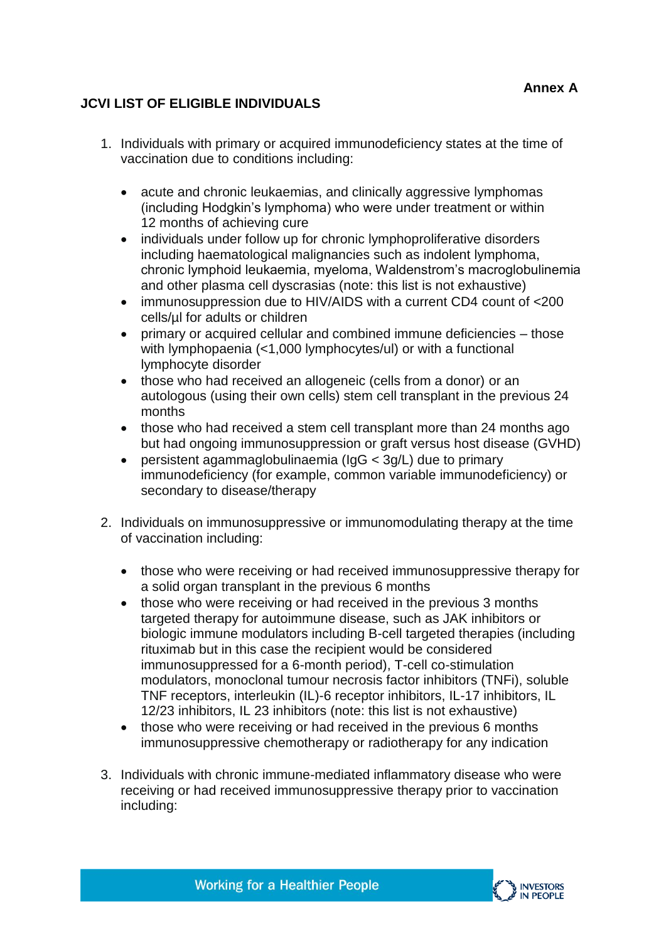## **JCVI LIST OF ELIGIBLE INDIVIDUALS**

- 1. Individuals with primary or acquired immunodeficiency states at the time of vaccination due to conditions including:
	- acute and chronic leukaemias, and clinically aggressive lymphomas (including Hodgkin's lymphoma) who were under treatment or within 12 months of achieving cure
	- individuals under follow up for chronic lymphoproliferative disorders including haematological malignancies such as indolent lymphoma, chronic lymphoid leukaemia, myeloma, Waldenstrom's macroglobulinemia and other plasma cell dyscrasias (note: this list is not exhaustive)
	- immunosuppression due to HIV/AIDS with a current CD4 count of <200 cells/µl for adults or children
	- primary or acquired cellular and combined immune deficiencies those with lymphopaenia (<1,000 lymphocytes/ul) or with a functional lymphocyte disorder
	- those who had received an allogeneic (cells from a donor) or an autologous (using their own cells) stem cell transplant in the previous 24 months
	- those who had received a stem cell transplant more than 24 months ago but had ongoing immunosuppression or graft versus host disease (GVHD)
	- persistent agammaglobulinaemia (IgG < 3g/L) due to primary immunodeficiency (for example, common variable immunodeficiency) or secondary to disease/therapy
- 2. Individuals on immunosuppressive or immunomodulating therapy at the time of vaccination including:
	- those who were receiving or had received immunosuppressive therapy for a solid organ transplant in the previous 6 months
	- those who were receiving or had received in the previous 3 months targeted therapy for autoimmune disease, such as JAK inhibitors or biologic immune modulators including B-cell targeted therapies (including rituximab but in this case the recipient would be considered immunosuppressed for a 6-month period), T-cell co-stimulation modulators, monoclonal tumour necrosis factor inhibitors (TNFi), soluble TNF receptors, interleukin (IL)-6 receptor inhibitors, IL-17 inhibitors, IL 12/23 inhibitors, IL 23 inhibitors (note: this list is not exhaustive)
	- those who were receiving or had received in the previous 6 months immunosuppressive chemotherapy or radiotherapy for any indication
- 3. Individuals with chronic immune-mediated inflammatory disease who were receiving or had received immunosuppressive therapy prior to vaccination including:

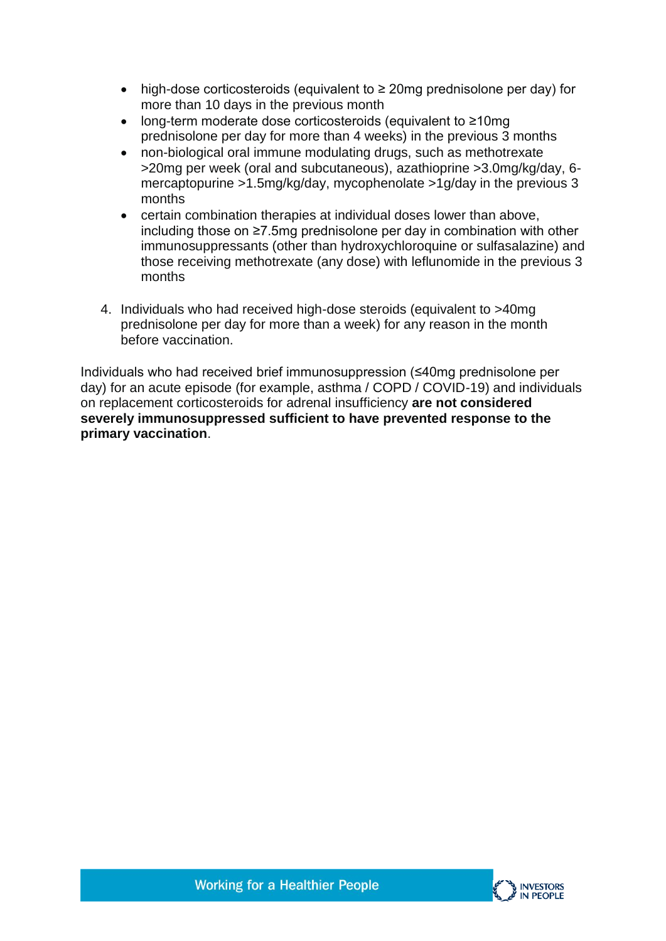- high-dose corticosteroids (equivalent to ≥ 20mg prednisolone per day) for more than 10 days in the previous month
- long-term moderate dose corticosteroids (equivalent to ≥10mg prednisolone per day for more than 4 weeks) in the previous 3 months
- non-biological oral immune modulating drugs, such as methotrexate >20mg per week (oral and subcutaneous), azathioprine >3.0mg/kg/day, 6 mercaptopurine >1.5mg/kg/day, mycophenolate >1g/day in the previous 3 months
- certain combination therapies at individual doses lower than above, including those on ≥7.5mg prednisolone per day in combination with other immunosuppressants (other than hydroxychloroquine or sulfasalazine) and those receiving methotrexate (any dose) with leflunomide in the previous 3 months
- 4. Individuals who had received high-dose steroids (equivalent to >40mg prednisolone per day for more than a week) for any reason in the month before vaccination.

Individuals who had received brief immunosuppression (≤40mg prednisolone per day) for an acute episode (for example, asthma / COPD / COVID-19) and individuals on replacement corticosteroids for adrenal insufficiency **are not considered severely immunosuppressed sufficient to have prevented response to the primary vaccination**.

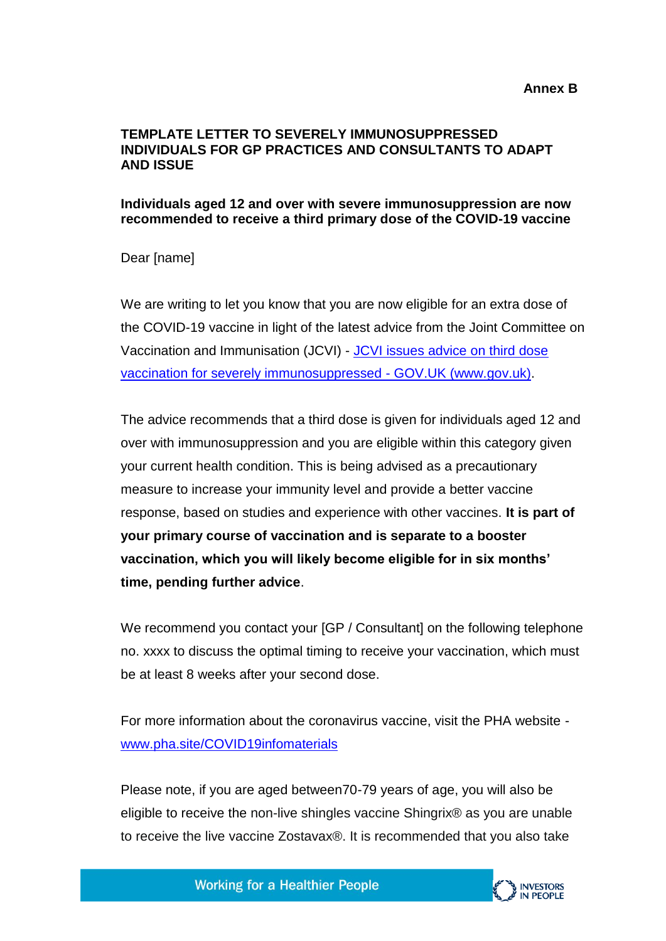## **TEMPLATE LETTER TO SEVERELY IMMUNOSUPPRESSED INDIVIDUALS FOR GP PRACTICES AND CONSULTANTS TO ADAPT AND ISSUE**

## **Individuals aged 12 and over with severe immunosuppression are now recommended to receive a third primary dose of the COVID-19 vaccine**

Dear [name]

We are writing to let you know that you are now eligible for an extra dose of the COVID-19 vaccine in light of the latest advice from the Joint Committee on Vaccination and Immunisation (JCVI) - [JCVI issues advice on third dose](https://www.gov.uk/government/news/jcvi-issues-advice-on-third-dose-vaccination-for-severely-immunosuppressed)  [vaccination for severely immunosuppressed -](https://www.gov.uk/government/news/jcvi-issues-advice-on-third-dose-vaccination-for-severely-immunosuppressed) GOV.UK (www.gov.uk).

The advice recommends that a third dose is given for individuals aged 12 and over with immunosuppression and you are eligible within this category given your current health condition. This is being advised as a precautionary measure to increase your immunity level and provide a better vaccine response, based on studies and experience with other vaccines. **It is part of your primary course of vaccination and is separate to a booster vaccination, which you will likely become eligible for in six months' time, pending further advice**.

We recommend you contact your [GP / Consultant] on the following telephone no. xxxx to discuss the optimal timing to receive your vaccination, which must be at least 8 weeks after your second dose.

For more information about the coronavirus vaccine, visit the PHA website [www.pha.site/COVID19infomaterials](http://www.pha.site/COVID19infomaterials)

Please note, if you are aged between70-79 years of age, you will also be eligible to receive the non-live shingles vaccine Shingrix® as you are unable to receive the live vaccine Zostavax®. It is recommended that you also take

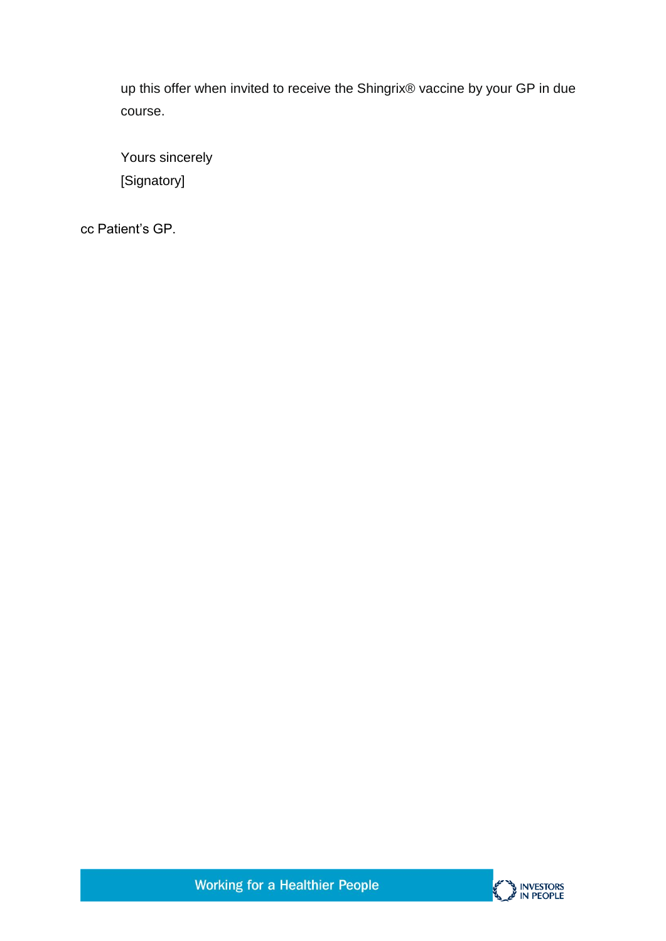up this offer when invited to receive the Shingrix® vaccine by your GP in due course.

Yours sincerely [Signatory]

cc Patient's GP.



**Working for a Healthier People**